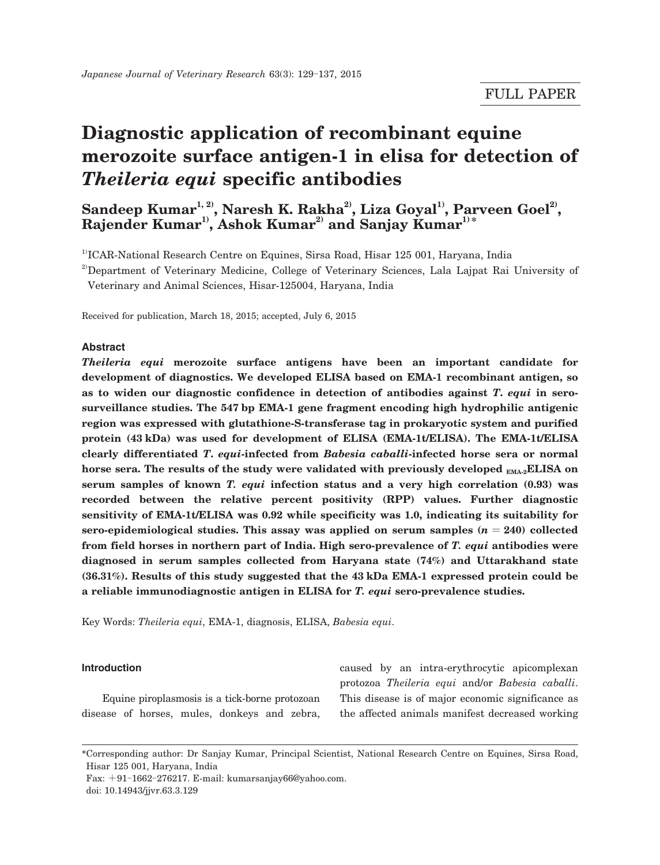# **Diagnostic application of recombinant equine merozoite surface antigen-1 in elisa for detection of**  *Theileria equi* **specific antibodies**

Sandeep Kumar<sup>1, 2)</sup>, Naresh K. Rakha<sup>2</sup>, Liza Goyal<sup>1)</sup>, Parveen Goel<sup>2)</sup>,  $\mathbf{R}$ ajender Kumar $\mathbf{1}^{\text{\tiny{1}}}, \mathbf{A}$ shok Kumar $\mathbf{1}^{\text{\tiny{2}}}$  and Sanjay Kumar $\mathbf{1}^{\text{\tiny{3}}}$ 

<sup>1)</sup>ICAR-National Research Centre on Equines, Sirsa Road, Hisar 125 001, Haryana, India

<sup>2</sup>Department of Veterinary Medicine, College of Veterinary Sciences, Lala Lajpat Rai University of Veterinary and Animal Sciences, Hisar-125004, Haryana, India

Received for publication, March 18, 2015; accepted, July 6, 2015

# **Abstract**

*Theileria equi* **merozoite surface antigens have been an important candidate for development of diagnostics. We developed ELISA based on EMA-1 recombinant antigen, so as to widen our diagnostic confidence in detection of antibodies against** *T***.** *equi* **in serosurveillance studies. The 547 bp EMA-1 gene fragment encoding high hydrophilic antigenic region was expressed with glutathione-S-transferase tag in prokaryotic system and purified protein (43 kDa) was used for development of ELISA (EMA-1t/ELISA). The EMA-1t/ELISA clearly differentiated** *T***.** *equi***-infected from** *Babesia caballi***-infected horse sera or normal**  horse sera. The results of the study were validated with previously developed <sub>EMA-2</sub>ELISA on **serum samples of known** *T. equi* **infection status and a very high correlation (0.93) was recorded between the relative percent positivity (RPP) values. Further diagnostic sensitivity of EMA-1t/ELISA was 0.92 while specificity was 1.0, indicating its suitability for**  sero-epidemiological studies. This assay was applied on serum samples  $(n = 240)$  collected **from field horses in northern part of India. High sero-prevalence of** *T. equi* **antibodies were diagnosed in serum samples collected from Haryana state (74%) and Uttarakhand state (36.31%). Results of this study suggested that the 43 kDa EMA-1 expressed protein could be a reliable immunodiagnostic antigen in ELISA for** *T. equi* **sero-prevalence studies.**

Key Words: *Theileria equi*, EMA-1, diagnosis, ELISA, *Babesia equi*.

## **Introduction**

 Equine piroplasmosis is a tick-borne protozoan disease of horses, mules, donkeys and zebra,

caused by an intra-erythrocytic apicomplexan protozoa *Theileria equi* and/or *Babesia caballi*. This disease is of major economic significance as the affected animals manifest decreased working

Fax: +91-1662-276217. E-mail: kumarsanjay66@yahoo.com.

doi: 10.14943/jjvr.63.3.129

<sup>\*</sup>Corresponding author: Dr Sanjay Kumar, Principal Scientist, National Research Centre on Equines, Sirsa Road, Hisar 125 001, Haryana, India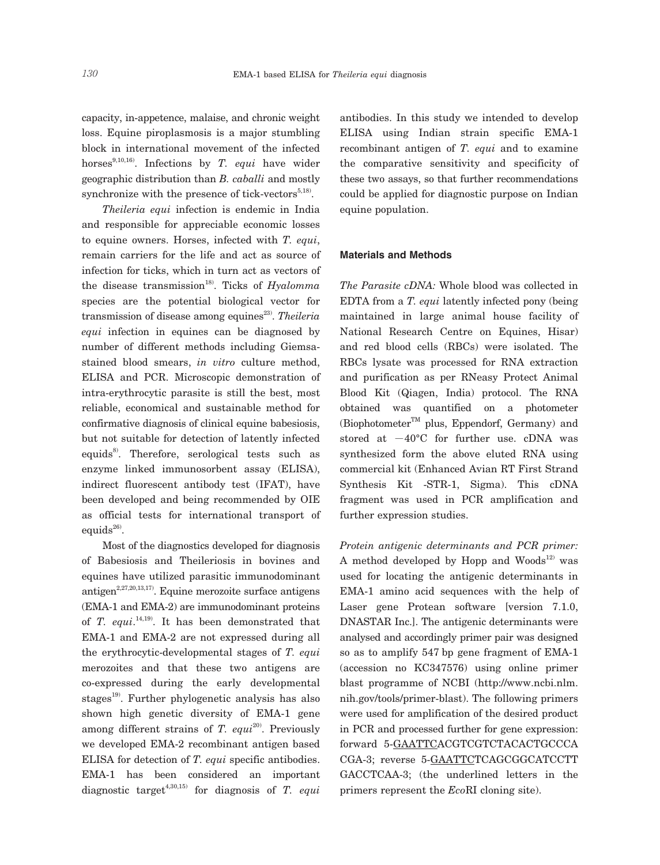capacity, in-appetence, malaise, and chronic weight loss. Equine piroplasmosis is a major stumbling block in international movement of the infected horses<sup>9,10,16</sup>). Infections by *T. equi* have wider geographic distribution than *B. caballi* and mostly synchronize with the presence of tick-vectors $5,18$ .

 *Theileria equi* infection is endemic in India and responsible for appreciable economic losses to equine owners. Horses, infected with *T. equi*, remain carriers for the life and act as source of infection for ticks, which in turn act as vectors of the disease transmission<sup>18)</sup>. Ticks of  $Hyalomma$ species are the potential biological vector for transmission of disease among equines<sup>23)</sup>. *Theileria equi* infection in equines can be diagnosed by number of different methods including Giemsastained blood smears, *in vitro* culture method, ELISA and PCR. Microscopic demonstration of intra-erythrocytic parasite is still the best, most reliable, economical and sustainable method for confirmative diagnosis of clinical equine babesiosis, but not suitable for detection of latently infected equids<sup>8</sup>. Therefore, serological tests such as enzyme linked immunosorbent assay (ELISA), indirect fluorescent antibody test (IFAT), have been developed and being recommended by OIE as official tests for international transport of equids $^{26}$ .

 Most of the diagnostics developed for diagnosis of Babesiosis and Theileriosis in bovines and equines have utilized parasitic immunodominant antigen<sup>2,27,20,13,17)</sup>. Equine merozoite surface antigens (EMA-1 and EMA-2) are immunodominant proteins of *T. equi*. 14,19). It has been demonstrated that EMA-1 and EMA-2 are not expressed during all the erythrocytic-developmental stages of *T. equi* merozoites and that these two antigens are co-expressed during the early developmental stages<sup>19)</sup>. Further phylogenetic analysis has also shown high genetic diversity of EMA-1 gene among different strains of *T. equi*<sup>20)</sup>. Previously we developed EMA-2 recombinant antigen based ELISA for detection of *T. equi* specific antibodies. EMA-1 has been considered an important diagnostic target<sup>4,30,15)</sup> for diagnosis of  $T.$  equi

antibodies. In this study we intended to develop ELISA using Indian strain specific EMA-1 recombinant antigen of *T. equi* and to examine the comparative sensitivity and specificity of these two assays, so that further recommendations could be applied for diagnostic purpose on Indian equine population.

## **Materials and Methods**

*The Parasite cDNA:* Whole blood was collected in EDTA from a *T. equi* latently infected pony (being maintained in large animal house facility of National Research Centre on Equines, Hisar) and red blood cells (RBCs) were isolated. The RBCs lysate was processed for RNA extraction and purification as per RNeasy Protect Animal Blood Kit (Qiagen, India) protocol. The RNA obtained was quantified on a photometer (Biophotometer<sup>TM</sup> plus, Eppendorf, Germany) and stored at  $-40^{\circ}$ C for further use. cDNA was synthesized form the above eluted RNA using commercial kit (Enhanced Avian RT First Strand Synthesis Kit -STR-1, Sigma). This cDNA fragment was used in PCR amplification and further expression studies.

*Protein antigenic determinants and PCR primer:* A method developed by Hopp and Woods<sup>12)</sup> was used for locating the antigenic determinants in EMA-1 amino acid sequences with the help of Laser gene Protean software [version 7.1.0, DNASTAR Inc.]. The antigenic determinants were analysed and accordingly primer pair was designed so as to amplify 547 bp gene fragment of EMA-1 (accession no KC347576) using online primer blast programme of NCBI (http://www.ncbi.nlm. nih.gov/tools/primer-blast). The following primers were used for amplification of the desired product in PCR and processed further for gene expression: forward 5-GAATTCACGTCGTCTACACTGCCCA CGA-3; reverse 5-GAATTCTCAGCGGCATCCTT GACCTCAA-3; (the underlined letters in the primers represent the *Eco*RI cloning site).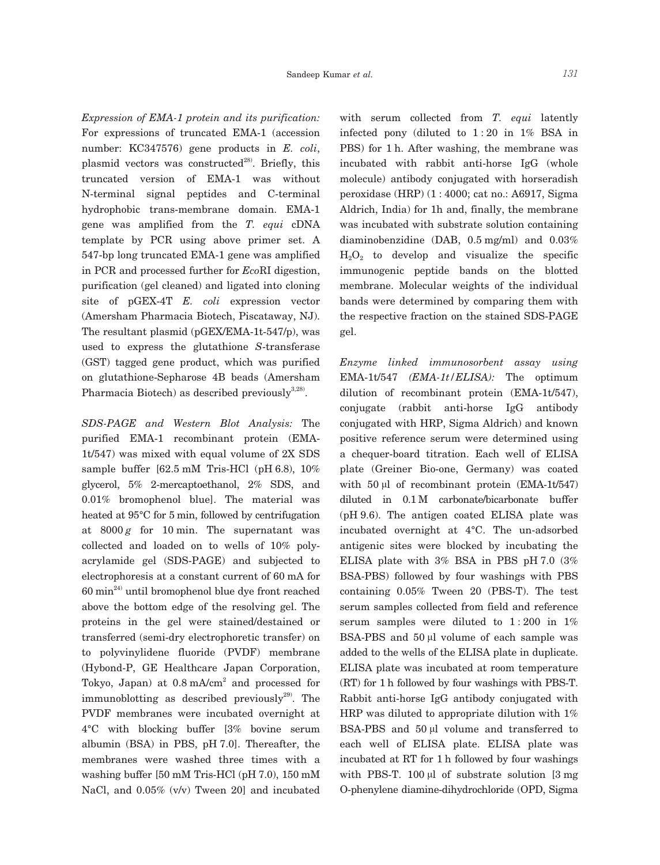*Expression of EMA-1 protein and its purification:* For expressions of truncated EMA-1 (accession number: KC347576) gene products in *E. coli*, plasmid vectors was constructed $^{28}$ . Briefly, this truncated version of EMA-1 was without N-terminal signal peptides and C-terminal hydrophobic trans-membrane domain. EMA-1 gene was amplified from the *T. equi* cDNA template by PCR using above primer set. A 547-bp long truncated EMA-1 gene was amplified in PCR and processed further for *Eco*RI digestion, purification (gel cleaned) and ligated into cloning site of pGEX-4T *E. coli* expression vector (Amersham Pharmacia Biotech, Piscataway, NJ). The resultant plasmid (pGEX/EMA-1t-547/p), was used to express the glutathione *S*-transferase (GST) tagged gene product, which was purified on glutathione-Sepharose 4B beads (Amersham Pharmacia Biotech) as described previously $3,28$ .

*SDS-PAGE and Western Blot Analysis:* The purified EMA-1 recombinant protein (EMA-1t/547) was mixed with equal volume of 2X SDS sample buffer [62.5 mM Tris-HCl (pH 6.8), 10% glycerol, 5% 2-mercaptoethanol, 2% SDS, and 0.01% bromophenol blue]. The material was heated at 95°C for 5 min, followed by centrifugation at  $8000 g$  for 10 min. The supernatant was collected and loaded on to wells of 10% polyacrylamide gel (SDS-PAGE) and subjected to electrophoresis at a constant current of 60 mA for  $60 \text{ min}^{24}$  until bromophenol blue dye front reached above the bottom edge of the resolving gel. The proteins in the gel were stained/destained or transferred (semi-dry electrophoretic transfer) on to polyvinylidene fluoride (PVDF) membrane (Hybond-P, GE Healthcare Japan Corporation, Tokyo, Japan) at  $0.8 \text{ mA/cm}^2$  and processed for immunoblotting as described previously $^{29}$ . The PVDF membranes were incubated overnight at 4°C with blocking buffer [3% bovine serum albumin (BSA) in PBS, pH 7.0]. Thereafter, the membranes were washed three times with a washing buffer [50 mM Tris-HCl (pH 7.0), 150 mM NaCl, and 0.05% (v/v) Tween 20] and incubated

with serum collected from *T. equi* latently infected pony (diluted to 1 : 20 in 1% BSA in PBS) for 1 h. After washing, the membrane was incubated with rabbit anti-horse IgG (whole molecule) antibody conjugated with horseradish peroxidase (HRP) (1 : 4000; cat no.: A6917, Sigma Aldrich, India) for 1h and, finally, the membrane was incubated with substrate solution containing diaminobenzidine (DAB, 0.5 mg/ml) and 0.03%  $H_2O_2$  to develop and visualize the specific immunogenic peptide bands on the blotted membrane. Molecular weights of the individual bands were determined by comparing them with the respective fraction on the stained SDS-PAGE gel.

*Enzyme linked immunosorbent assay using* EMA-1t/547 *(EMA-1t/ELISA):* The optimum dilution of recombinant protein (EMA-1t/547), conjugate (rabbit anti-horse IgG antibody conjugated with HRP, Sigma Aldrich) and known positive reference serum were determined using a chequer-board titration. Each well of ELISA plate (Greiner Bio-one, Germany) was coated with 50 μl of recombinant protein (EMA-1t/547) diluted in 0.1 M carbonate/bicarbonate buffer (pH 9.6). The antigen coated ELISA plate was incubated overnight at 4°C. The un-adsorbed antigenic sites were blocked by incubating the ELISA plate with 3% BSA in PBS pH 7.0 (3% BSA-PBS) followed by four washings with PBS containing 0.05% Tween 20 (PBS-T). The test serum samples collected from field and reference serum samples were diluted to  $1:200$  in  $1\%$ BSA-PBS and 50 μl volume of each sample was added to the wells of the ELISA plate in duplicate. ELISA plate was incubated at room temperature (RT) for 1 h followed by four washings with PBS-T. Rabbit anti-horse IgG antibody conjugated with HRP was diluted to appropriate dilution with 1% BSA-PBS and 50 μl volume and transferred to each well of ELISA plate. ELISA plate was incubated at RT for 1 h followed by four washings with PBS-T. 100  $\mu$ l of substrate solution [3 mg O-phenylene diamine-dihydrochloride (OPD, Sigma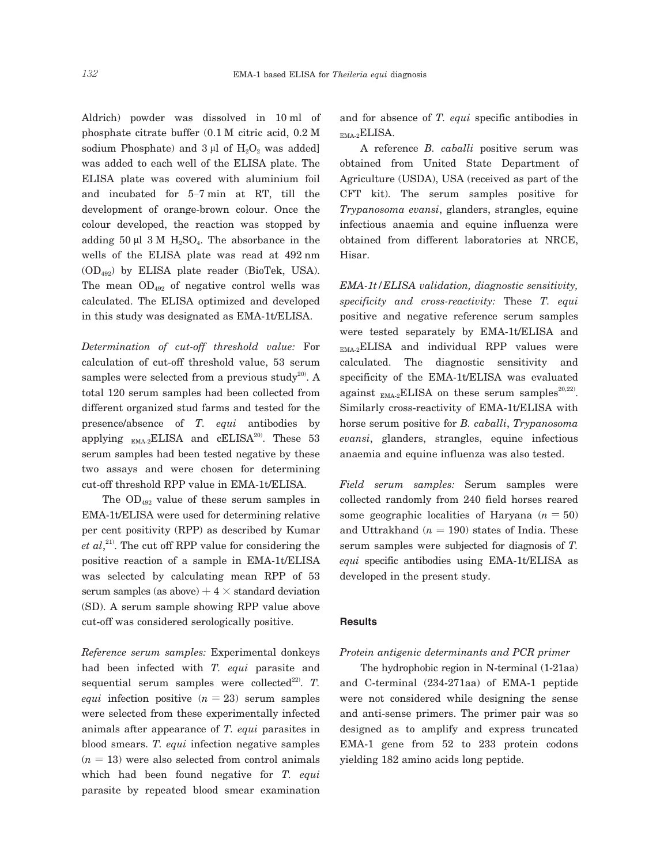Aldrich) powder was dissolved in 10 ml of phosphate citrate buffer (0.1 M citric acid, 0.2 M sodium Phosphate) and  $3 \mu l$  of  $H_2O_2$  was added] was added to each well of the ELISA plate. The ELISA plate was covered with aluminium foil and incubated for 5-7 min at RT, till the development of orange-brown colour. Once the colour developed, the reaction was stopped by adding  $50 \mu l$  3 M  $H_2SO_4$ . The absorbance in the wells of the ELISA plate was read at 492 nm (OD492) by ELISA plate reader (BioTek, USA). The mean  $OD_{492}$  of negative control wells was calculated. The ELISA optimized and developed in this study was designated as EMA-1t/ELISA.

*Determination of cut-off threshold value:* For calculation of cut-off threshold value, 53 serum samples were selected from a previous study<sup>20)</sup>. A total 120 serum samples had been collected from different organized stud farms and tested for the presence/absence of *T. equi* antibodies by applying  $_{\text{EMA-2}}$ ELISA and cELISA<sup>20</sup>. These 53 serum samples had been tested negative by these two assays and were chosen for determining cut-off threshold RPP value in EMA-1t/ELISA.

The  $OD_{492}$  value of these serum samples in EMA-1t/ELISA were used for determining relative per cent positivity (RPP) as described by Kumar *et al*, 21). The cut off RPP value for considering the positive reaction of a sample in EMA-1t/ELISA was selected by calculating mean RPP of 53 serum samples (as above)  $+4 \times$  standard deviation (SD). A serum sample showing RPP value above cut-off was considered serologically positive.

*Reference serum samples:* Experimental donkeys had been infected with *T. equi* parasite and sequential serum samples were collected<sup>22)</sup>. *T*. *equi* infection positive  $(n = 23)$  serum samples were selected from these experimentally infected animals after appearance of *T. equi* parasites in blood smears. *T. equi* infection negative samples  $(n = 13)$  were also selected from control animals which had been found negative for *T. equi* parasite by repeated blood smear examination

and for absence of *T. equi* specific antibodies in EMA-2ELISA.

 A reference *B. caballi* positive serum was obtained from United State Department of Agriculture (USDA), USA (received as part of the CFT kit). The serum samples positive for *Trypanosoma evansi*, glanders, strangles, equine infectious anaemia and equine influenza were obtained from different laboratories at NRCE, Hisar.

*EMA-1t/ELISA validation, diagnostic sensitivity, specificity and cross-reactivity:* These *T. equi* positive and negative reference serum samples were tested separately by EMA-1t/ELISA and  $_{\text{EMA-2}}$ ELISA and individual RPP values were calculated. The diagnostic sensitivity and specificity of the EMA-1t/ELISA was evaluated against  $_{EMA-2}ELISA$  on these serum samples<sup>20,22</sup>. Similarly cross-reactivity of EMA-1t/ELISA with horse serum positive for *B. caballi*, *Trypanosoma evansi*, glanders, strangles, equine infectious anaemia and equine influenza was also tested.

*Field serum samples:* Serum samples were collected randomly from 240 field horses reared some geographic localities of Haryana  $(n = 50)$ and Uttrakhand  $(n = 190)$  states of India. These serum samples were subjected for diagnosis of *T. equi* specific antibodies using EMA-1t/ELISA as developed in the present study.

#### **Results**

# *Protein antigenic determinants and PCR primer*

 The hydrophobic region in N-terminal (1-21aa) and C-terminal (234-271aa) of EMA-1 peptide were not considered while designing the sense and anti-sense primers. The primer pair was so designed as to amplify and express truncated EMA-1 gene from 52 to 233 protein codons yielding 182 amino acids long peptide.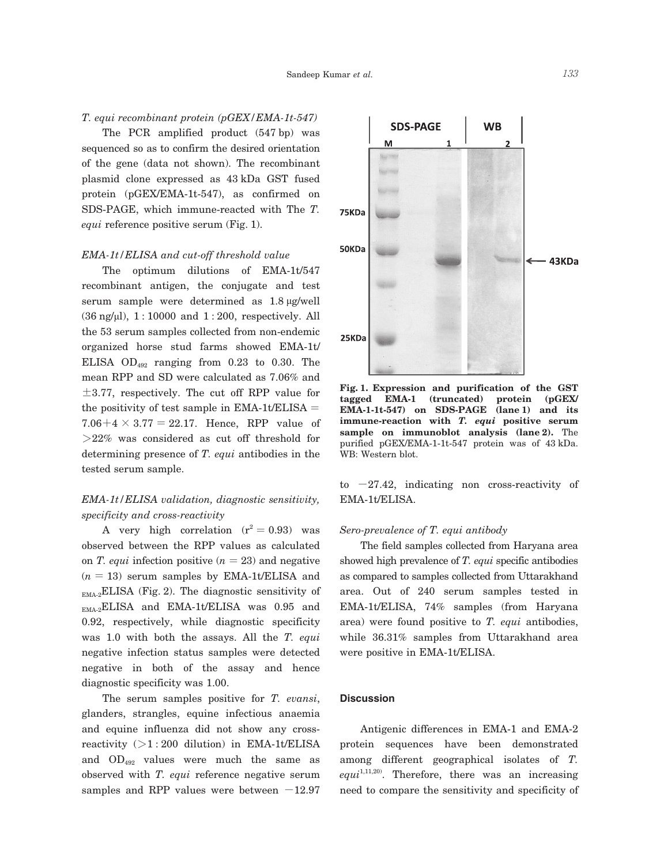# *T. equi recombinant protein (pGEX/EMA-1t-547)*

 The PCR amplified product (547 bp) was sequenced so as to confirm the desired orientation of the gene (data not shown). The recombinant plasmid clone expressed as 43 kDa GST fused protein (pGEX/EMA-1t-547), as confirmed on SDS-PAGE, which immune-reacted with The *T. equi* reference positive serum (Fig. 1).

# *EMA-1t/ELISA and cut-off threshold value*

 The optimum dilutions of EMA-1t/547 recombinant antigen, the conjugate and test serum sample were determined as 1.8 μg/well  $(36 \text{ ng/µl})$ ,  $1:10000$  and  $1:200$ , respectively. All the 53 serum samples collected from non-endemic organized horse stud farms showed EMA-1t/ ELISA  $OD_{492}$  ranging from 0.23 to 0.30. The mean RPP and SD were calculated as 7.06% and  $\pm$ 3.77, respectively. The cut off RPP value for the positivity of test sample in EMA-1t/ELISA  $=$ 7.06+4  $\times$  3.77 = 22.17. Hence, RPP value of  $>22\%$  was considered as cut off threshold for determining presence of *T. equi* antibodies in the tested serum sample.

# *EMA-1t/ELISA validation, diagnostic sensitivity, specificity and cross-reactivity*

A very high correlation  $(r^2 = 0.93)$  was observed between the RPP values as calculated on *T. equi* infection positive  $(n = 23)$  and negative  $(n = 13)$  serum samples by EMA-1t/ELISA and  $_{\text{EMA-2}}$ ELISA (Fig. 2). The diagnostic sensitivity of EMA-2ELISA and EMA-1t/ELISA was 0.95 and 0.92, respectively, while diagnostic specificity was 1.0 with both the assays. All the *T. equi* negative infection status samples were detected negative in both of the assay and hence diagnostic specificity was 1.00.

 The serum samples positive for *T. evansi*, glanders, strangles, equine infectious anaemia and equine influenza did not show any crossreactivity  $(>1:200$  dilution) in EMA-1t/ELISA and OD492 values were much the same as observed with *T. equi* reference negative serum samples and RPP values were between  $-12.97$ 



**Fig. 1. Expression and purification of the GST tagged EMA-1 (truncated) protein (pGEX/ EMA-1-1t-547) on SDS-PAGE (lane 1) and its immune-reaction with** *T. equi* **positive serum sample on immunoblot analysis (lane 2).** The purified pGEX/EMA-1-1t-547 protein was of 43 kDa. WB: Western blot.

to  $-27.42$ , indicating non cross-reactivity of EMA-1t/ELISA.

# *Sero-prevalence of T. equi antibody*

 The field samples collected from Haryana area showed high prevalence of *T. equi* specific antibodies as compared to samples collected from Uttarakhand area. Out of 240 serum samples tested in EMA-1t/ELISA, 74% samples (from Haryana area) were found positive to *T. equi* antibodies, while 36.31% samples from Uttarakhand area were positive in EMA-1t/ELISA.

# **Discussion**

 Antigenic differences in EMA-1 and EMA-2 protein sequences have been demonstrated among different geographical isolates of *T.*  equi<sup>1,11,20</sup>. Therefore, there was an increasing need to compare the sensitivity and specificity of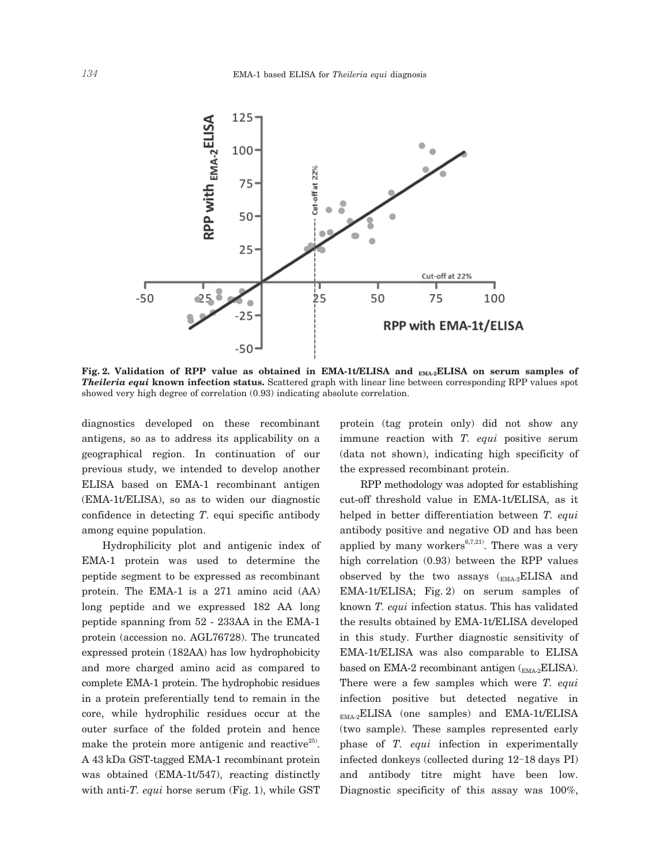

Fig. 2. Validation of RPP value as obtained in EMA-1t/ELISA and <sub>EMA-2</sub>ELISA on serum samples of *Theileria equi* **known infection status.** Scattered graph with linear line between corresponding RPP values spot showed very high degree of correlation (0.93) indicating absolute correlation.

diagnostics developed on these recombinant antigens, so as to address its applicability on a geographical region. In continuation of our previous study, we intended to develop another ELISA based on EMA-1 recombinant antigen (EMA-1t/ELISA), so as to widen our diagnostic confidence in detecting *T*. equi specific antibody among equine population.

 Hydrophilicity plot and antigenic index of EMA-1 protein was used to determine the peptide segment to be expressed as recombinant protein. The EMA-1 is a 271 amino acid (AA) long peptide and we expressed 182 AA long peptide spanning from 52 - 233AA in the EMA-1 protein (accession no. AGL76728). The truncated expressed protein (182AA) has low hydrophobicity and more charged amino acid as compared to complete EMA-1 protein. The hydrophobic residues in a protein preferentially tend to remain in the core, while hydrophilic residues occur at the outer surface of the folded protein and hence make the protein more antigenic and reactive<sup>25</sup>. A 43 kDa GST-tagged EMA-1 recombinant protein was obtained (EMA-1t/547), reacting distinctly with anti-*T. equi* horse serum (Fig. 1), while GST

protein (tag protein only) did not show any immune reaction with *T. equi* positive serum (data not shown), indicating high specificity of the expressed recombinant protein.

 RPP methodology was adopted for establishing cut-off threshold value in EMA-1t/ELISA, as it helped in better differentiation between *T. equi* antibody positive and negative OD and has been applied by many workers $6,7,21)$ . There was a very high correlation (0.93) between the RPP values observed by the two assays  $\binom{FMA-2}{EMA-2}ELISA$  and EMA-1t/ELISA; Fig. 2) on serum samples of known *T. equi* infection status. This has validated the results obtained by EMA-1t/ELISA developed in this study. Further diagnostic sensitivity of EMA-1t/ELISA was also comparable to ELISA based on EMA-2 recombinant antigen  $\binom{m}{\text{EMA-2}}$ ELISA). There were a few samples which were *T. equi* infection positive but detected negative in  $_{\text{EMA-2}}$ ELISA (one samples) and EMA-1t/ELISA (two sample). These samples represented early phase of *T. equi* infection in experimentally infected donkeys (collected during 12-18 days PI) and antibody titre might have been low. Diagnostic specificity of this assay was 100%,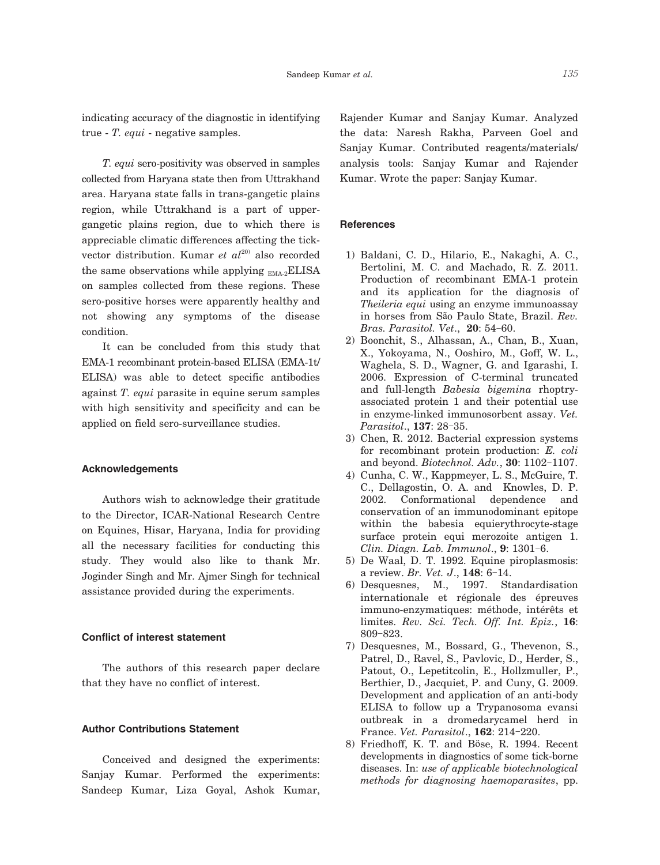indicating accuracy of the diagnostic in identifying true - *T. equi* - negative samples.

 *T. equi* sero-positivity was observed in samples collected from Haryana state then from Uttrakhand area. Haryana state falls in trans-gangetic plains region, while Uttrakhand is a part of uppergangetic plains region, due to which there is appreciable climatic differences affecting the tickvector distribution. Kumar *et al*<sup>20)</sup> also recorded the same observations while applying  $_{EMA-2}ELLISA$ on samples collected from these regions. These sero-positive horses were apparently healthy and not showing any symptoms of the disease condition.

 It can be concluded from this study that EMA-1 recombinant protein-based ELISA (EMA-1t/ ELISA) was able to detect specific antibodies against *T. equi* parasite in equine serum samples with high sensitivity and specificity and can be applied on field sero-surveillance studies.

# **Acknowledgements**

 Authors wish to acknowledge their gratitude to the Director, ICAR-National Research Centre on Equines, Hisar, Haryana, India for providing all the necessary facilities for conducting this study. They would also like to thank Mr. Joginder Singh and Mr. Ajmer Singh for technical assistance provided during the experiments.

# **Conflict of interest statement**

 The authors of this research paper declare that they have no conflict of interest.

# **Author Contributions Statement**

 Conceived and designed the experiments: Sanjay Kumar. Performed the experiments: Sandeep Kumar, Liza Goyal, Ashok Kumar,

Rajender Kumar and Sanjay Kumar. Analyzed the data: Naresh Rakha, Parveen Goel and Sanjay Kumar. Contributed reagents/materials/ analysis tools: Sanjay Kumar and Rajender Kumar. Wrote the paper: Sanjay Kumar.

# **References**

- 1) Baldani, C. D., Hilario, E., Nakaghi, A. C., Bertolini, M. C. and Machado, R. Z. 2011. Production of recombinant EMA-1 protein and its application for the diagnosis of *Theileria equi* using an enzyme immunoassay in horses from São Paulo State, Brazil. *Rev. Bras. Parasitol. Vet*., **20**: 54-60.
- 2) Boonchit, S., Alhassan, A., Chan, B., Xuan, X., Yokoyama, N., Ooshiro, M., Goff, W. L., Waghela, S. D., Wagner, G. and Igarashi, I. 2006. Expression of C-terminal truncated and full-length *Babesia bigemina* rhoptryassociated protein 1 and their potential use in enzyme-linked immunosorbent assay. *Vet. Parasitol*., **137**: 28-35.
- 3) Chen, R. 2012. Bacterial expression systems for recombinant protein production: *E. coli* and beyond. *Biotechnol. Adv.*, **30**: 1102-1107.
- 4) Cunha, C. W., Kappmeyer, L. S., McGuire, T. C., Dellagostin, O. A. and Knowles, D. P. 2002. Conformational dependence and conservation of an immunodominant epitope within the babesia equierythrocyte-stage surface protein equi merozoite antigen 1. *Clin. Diagn. Lab. Immunol*., **9**: 1301-6.
- 5) De Waal, D. T. 1992. Equine piroplasmosis: a review. *Br. Vet. J*., **148**: 6-14.
- 6) Desquesnes, M., 1997. Standardisation internationale et régionale des épreuves immuno-enzymatiques: méthode, intérêts et limites. *Rev. Sci. Tech. Off. Int. Epiz.*, **16**: 809-823.
- 7) Desquesnes, M., Bossard, G., Thevenon, S., Patrel, D., Ravel, S., Pavlovic, D., Herder, S., Patout, O., Lepetitcolin, E., Hollzmuller, P., Berthier, D., Jacquiet, P. and Cuny, G. 2009. Development and application of an anti-body ELISA to follow up a Trypanosoma evansi outbreak in a dromedarycamel herd in France. *Vet. Parasitol*., **162**: 214-220.
- 8) Friedhoff, K. T. and Böse, R. 1994. Recent developments in diagnostics of some tick-borne diseases. In: *use of applicable biotechnological methods for diagnosing haemoparasites*, pp.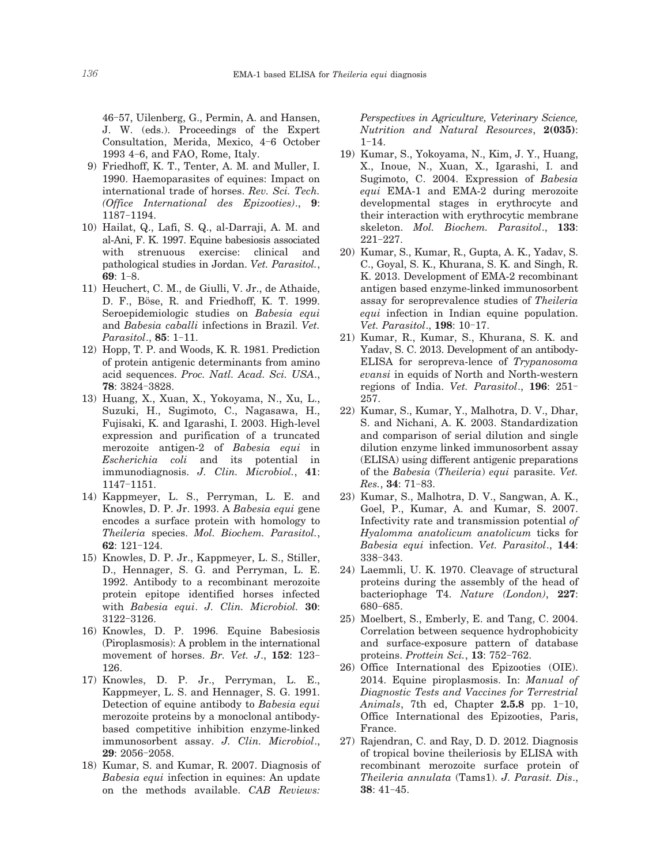46-57, Uilenberg, G., Permin, A. and Hansen, J. W. (eds.). Proceedings of the Expert Consultation, Merida, Mexico, 4-6 October 1993 4-6, and FAO, Rome, Italy.

- 9) Friedhoff, K. T., Tenter, A. M. and Muller, I. 1990. Haemoparasites of equines: Impact on international trade of horses. *Rev. Sci. Tech. (Office International des Epizooties)*., **9**: 1187-1194.
- 10) Hailat, Q., Lafi, S. Q., al-Darraji, A. M. and al-Ani, F. K. 1997. Equine babesiosis associated with strenuous exercise: clinical and pathological studies in Jordan. *Vet. Parasitol.*, **69**: 1-8.
- 11) Heuchert, C. M., de Giulli, V. Jr., de Athaide, D. F., Böse, R. and Friedhoff, K. T. 1999. Seroepidemiologic studies on *Babesia equi* and *Babesia caballi* infections in Brazil. *Vet. Parasitol*., **85**: 1-11.
- 12) Hopp, T. P. and Woods, K. R. 1981. Prediction of protein antigenic determinants from amino acid sequences. *Proc. Natl. Acad. Sci. USA*., **78**: 3824-3828.
- 13) Huang, X., Xuan, X., Yokoyama, N., Xu, L., Suzuki, H., Sugimoto, C., Nagasawa, H., Fujisaki, K. and Igarashi, I. 2003. High-level expression and purification of a truncated merozoite antigen-2 of *Babesia equi* in *Escherichia coli* and its potential in immunodiagnosis. *J. Clin. Microbiol.*, **41**: 1147-1151.
- 14) Kappmeyer, L. S., Perryman, L. E. and Knowles, D. P. Jr. 1993. A *Babesia equi* gene encodes a surface protein with homology to *Theileria* species. *Mol. Biochem. Parasitol.*, **62**: 121-124.
- 15) Knowles, D. P. Jr., Kappmeyer, L. S., Stiller, D., Hennager, S. G. and Perryman, L. E. 1992. Antibody to a recombinant merozoite protein epitope identified horses infected with *Babesia equi*. *J. Clin. Microbiol.* **30**: 3122-3126.
- 16) Knowles, D. P. 1996. Equine Babesiosis (Piroplasmosis): A problem in the international movement of horses. *Br. Vet. J*., **152**: 123- 126.
- 17) Knowles, D. P. Jr., Perryman, L. E., Kappmeyer, L. S. and Hennager, S. G. 1991. Detection of equine antibody to *Babesia equi* merozoite proteins by a monoclonal antibodybased competitive inhibition enzyme-linked immunosorbent assay. *J. Clin. Microbiol*., **29**: 2056-2058.
- 18) Kumar, S. and Kumar, R. 2007. Diagnosis of *Babesia equi* infection in equines: An update on the methods available. *CAB Reviews:*

*Perspectives in Agriculture, Veterinary Science, Nutrition and Natural Resources*, **2(035)**: 1-14.

- 19) Kumar, S., Yokoyama, N., Kim, J. Y., Huang, X., Inoue, N., Xuan, X., Igarashi, I. and Sugimoto, C. 2004. Expression of *Babesia equi* EMA-1 and EMA-2 during merozoite developmental stages in erythrocyte and their interaction with erythrocytic membrane skeleton. *Mol. Biochem. Parasitol*., **133**: 221-227.
- 20) Kumar, S., Kumar, R., Gupta, A. K., Yadav, S. C., Goyal, S. K., Khurana, S. K. and Singh, R. K. 2013. Development of EMA-2 recombinant antigen based enzyme-linked immunosorbent assay for seroprevalence studies of *Theileria equi* infection in Indian equine population. *Vet. Parasitol*., **198**: 10-17.
- 21) Kumar, R., Kumar, S., Khurana, S. K. and Yadav, S. C. 2013. Development of an antibody-ELISA for seropreva-lence of *Trypanosoma evansi* in equids of North and North-western regions of India. *Vet. Parasitol*., **196**: 251- 257.
- 22) Kumar, S., Kumar, Y., Malhotra, D. V., Dhar, S. and Nichani, A. K. 2003. Standardization and comparison of serial dilution and single dilution enzyme linked immunosorbent assay (ELISA) using different antigenic preparations of the *Babesia* (*Theileria*) *equi* parasite. *Vet. Res.*, **34**: 71-83.
- 23) Kumar, S., Malhotra, D. V., Sangwan, A. K., Goel, P., Kumar, A. and Kumar, S. 2007. Infectivity rate and transmission potential *of Hyalomma anatolicum anatolicum* ticks for *Babesia equi* infection. *Vet. Parasitol*., **144**: 338-343.
- 24) Laemmli, U. K. 1970. Cleavage of structural proteins during the assembly of the head of bacteriophage T4. *Nature (London)*, **227**: 680-685.
- 25) Moelbert, S., Emberly, E. and Tang, C. 2004. Correlation between sequence hydrophobicity and surface-exposure pattern of database proteins. *Prottein Sci.*, **13**: 752-762.
- 26) Office International des Epizooties (OIE). 2014. Equine piroplasmosis. In: *Manual of Diagnostic Tests and Vaccines for Terrestrial Animals*, 7th ed, Chapter **2.5.8** pp. 1-10, Office International des Epizooties, Paris, France.
- 27) Rajendran, C. and Ray, D. D. 2012. Diagnosis of tropical bovine theileriosis by ELISA with recombinant merozoite surface protein of *Theileria annulata* (Tams1). *J. Parasit. Dis*., **38**: 41-45.